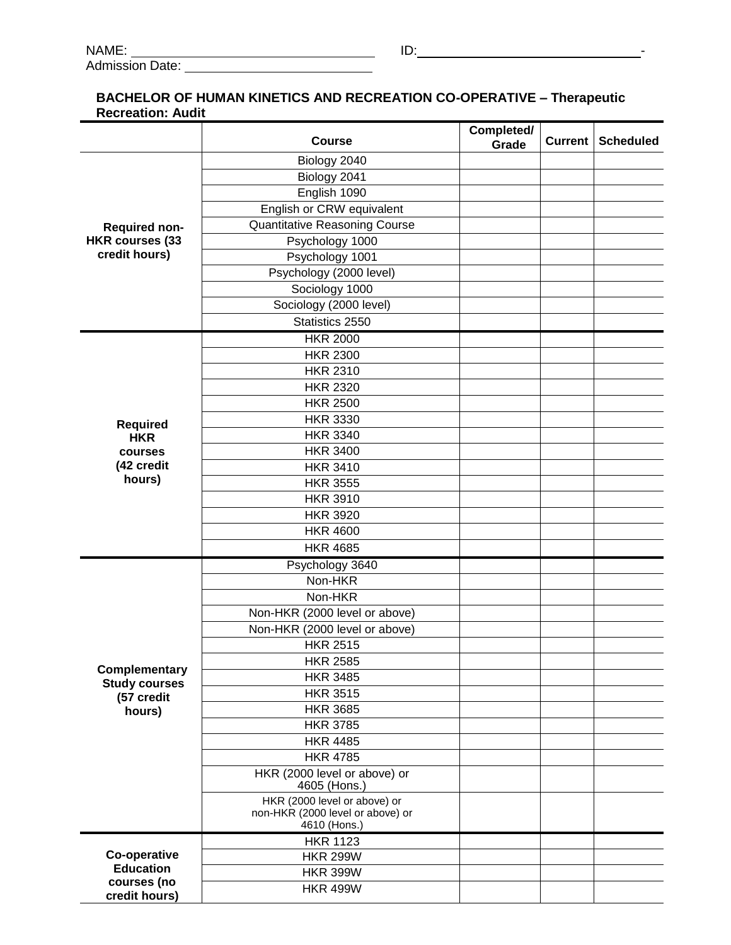## **BACHELOR OF HUMAN KINETICS AND RECREATION CO-OPERATIVE – Therapeutic Recreation: Audit**

|                                                                 | <b>Course</b>                                    | Completed/<br>Grade | Current | <b>Scheduled</b> |
|-----------------------------------------------------------------|--------------------------------------------------|---------------------|---------|------------------|
| <b>Required non-</b><br><b>HKR courses (33</b><br>credit hours) | Biology 2040                                     |                     |         |                  |
|                                                                 | Biology 2041                                     |                     |         |                  |
|                                                                 | English 1090                                     |                     |         |                  |
|                                                                 | English or CRW equivalent                        |                     |         |                  |
|                                                                 | <b>Quantitative Reasoning Course</b>             |                     |         |                  |
|                                                                 | Psychology 1000                                  |                     |         |                  |
|                                                                 | Psychology 1001                                  |                     |         |                  |
|                                                                 | Psychology (2000 level)                          |                     |         |                  |
|                                                                 | Sociology 1000                                   |                     |         |                  |
|                                                                 | Sociology (2000 level)                           |                     |         |                  |
|                                                                 | Statistics 2550                                  |                     |         |                  |
|                                                                 | <b>HKR 2000</b>                                  |                     |         |                  |
|                                                                 | <b>HKR 2300</b>                                  |                     |         |                  |
|                                                                 | <b>HKR 2310</b>                                  |                     |         |                  |
|                                                                 | <b>HKR 2320</b>                                  |                     |         |                  |
|                                                                 | <b>HKR 2500</b>                                  |                     |         |                  |
|                                                                 | <b>HKR 3330</b>                                  |                     |         |                  |
| <b>Required</b>                                                 | <b>HKR 3340</b>                                  |                     |         |                  |
| <b>HKR</b><br>courses<br>(42 credit<br>hours)                   | <b>HKR 3400</b>                                  |                     |         |                  |
|                                                                 | <b>HKR 3410</b>                                  |                     |         |                  |
|                                                                 | <b>HKR 3555</b>                                  |                     |         |                  |
|                                                                 | <b>HKR 3910</b>                                  |                     |         |                  |
|                                                                 | <b>HKR 3920</b>                                  |                     |         |                  |
|                                                                 | <b>HKR 4600</b>                                  |                     |         |                  |
|                                                                 | <b>HKR 4685</b>                                  |                     |         |                  |
|                                                                 |                                                  |                     |         |                  |
| Complementary<br><b>Study courses</b><br>(57 credit<br>hours)   | Psychology 3640<br>Non-HKR                       |                     |         |                  |
|                                                                 |                                                  |                     |         |                  |
|                                                                 | Non-HKR                                          |                     |         |                  |
|                                                                 | Non-HKR (2000 level or above)                    |                     |         |                  |
|                                                                 | Non-HKR (2000 level or above)<br><b>HKR 2515</b> |                     |         |                  |
|                                                                 |                                                  |                     |         |                  |
|                                                                 | <b>HKR 2585</b>                                  |                     |         |                  |
|                                                                 | <b>HKR 3485</b>                                  |                     |         |                  |
|                                                                 | <b>HKR 3515</b>                                  |                     |         |                  |
|                                                                 | <b>HKR 3685</b>                                  |                     |         |                  |
|                                                                 | <b>HKR 3785</b><br><b>HKR 4485</b>               |                     |         |                  |
|                                                                 | <b>HKR 4785</b>                                  |                     |         |                  |
|                                                                 | HKR (2000 level or above) or                     |                     |         |                  |
|                                                                 | 4605 (Hons.)                                     |                     |         |                  |
|                                                                 | HKR (2000 level or above) or                     |                     |         |                  |
|                                                                 | non-HKR (2000 level or above) or                 |                     |         |                  |
|                                                                 | 4610 (Hons.)                                     |                     |         |                  |
| Co-operative<br><b>Education</b>                                | <b>HKR 1123</b>                                  |                     |         |                  |
|                                                                 | <b>HKR 299W</b>                                  |                     |         |                  |
| courses (no                                                     | <b>HKR 399W</b>                                  |                     |         |                  |
| credit hours)                                                   | <b>HKR 499W</b>                                  |                     |         |                  |